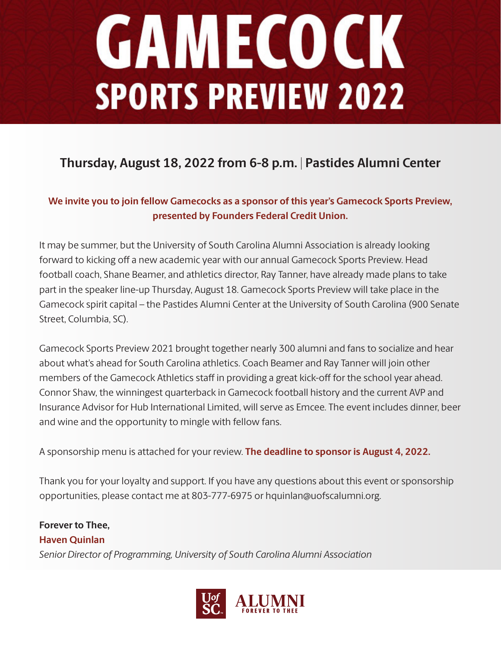## **GAMECOCK SPORTS PREVIEW 2022**

### **Thursday, August 18, 2022 from 6-8 p.m. | Pastides Alumni Center**

#### **We invite you to join fellow Gamecocks as a sponsor of this year's Gamecock Sports Preview, presented by Founders Federal Credit Union.**

It may be summer, but the University of South Carolina Alumni Association is already looking forward to kicking off a new academic year with our annual Gamecock Sports Preview. Head football coach, Shane Beamer, and athletics director, Ray Tanner, have already made plans to take part in the speaker line-up Thursday, August 18. Gamecock Sports Preview will take place in the Gamecock spirit capital – the Pastides Alumni Center at the University of South Carolina (900 Senate Street, Columbia, SC).

Gamecock Sports Preview 2021 brought together nearly 300 alumni and fans to socialize and hear about what's ahead for South Carolina athletics. Coach Beamer and Ray Tanner will join other members of the Gamecock Athletics staff in providing a great kick-off for the school year ahead. Connor Shaw, the winningest quarterback in Gamecock football history and the current AVP and Insurance Advisor for Hub International Limited, will serve as Emcee. The event includes dinner, beer and wine and the opportunity to mingle with fellow fans.

A sponsorship menu is attached for your review. **The deadline to sponsor is August 4, 2022.**

Thank you for your loyalty and support. If you have any questions about this event or sponsorship opportunities, please contact me at 803-777-6975 or hquinlan@uofscalumni.org.

#### **Forever to Thee, Haven Quinlan** *Senior Director of Programming, University of South Carolina Alumni Association*